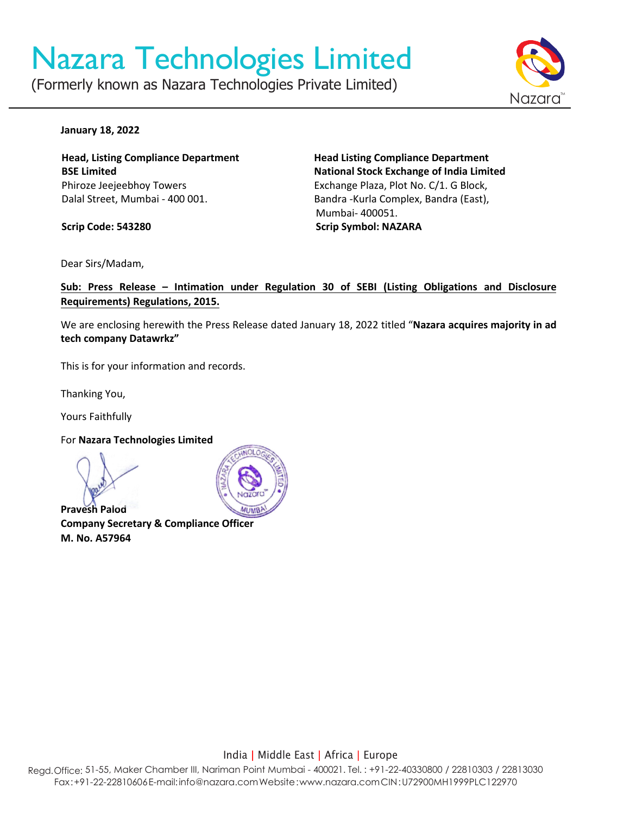# Nazara Technologies Limited

(Formerly known as Nazara Technologies Private Limited)



#### **January 18, 2022**

**Head, Listing Compliance Department BSE Limited** Phiroze Jeejeebhoy Towers Dalal Street, Mumbai - 400 001.

**Scrip Code: 543280**

**Head Listing Compliance Department National Stock Exchange of India Limited** Exchange Plaza, Plot No. C/1. G Block, Bandra -Kurla Complex, Bandra (East), Mumbai- 400051. **Scrip Symbol: NAZARA**

Dear Sirs/Madam,

**Sub: Press Release – Intimation under Regulation 30 of SEBI (Listing Obligations and Disclosure Requirements) Regulations, 2015.**

We are enclosing herewith the Press Release dated January 18, 2022 titled "**Nazara acquires majority in ad tech company Datawrkz"**

This is for your information and records.

Thanking You,

Yours Faithfully

For **Nazara Technologies Limited**

**Pravesh Palod Company Secretary & Compliance Officer M. No. A57964**



India | Middle East | Africa | Europe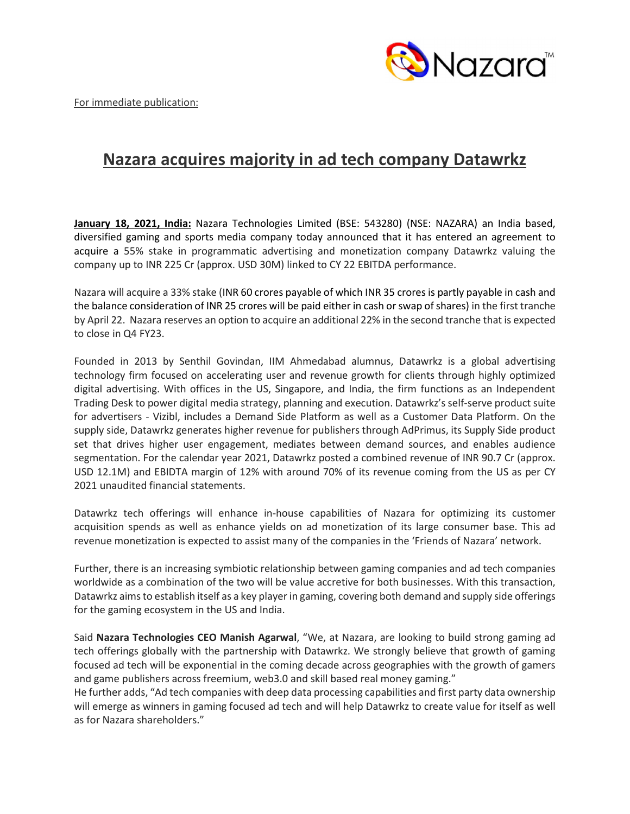

For immediate publication:

# **Nazara acquires majority in ad tech company Datawrkz**

**January 18, 2021, India:** Nazara Technologies Limited (BSE: 543280) (NSE: NAZARA) an India based, diversified gaming and sports media company today announced that it has entered an agreement to acquire a 55% stake in programmatic advertising and monetization company Datawrkz valuing the company up to INR 225 Cr (approx. USD 30M) linked to CY 22 EBITDA performance.

Nazara will acquire a 33% stake (INR 60 crores payable of which INR 35 crores is partly payable in cash and the balance consideration of INR 25 crores will be paid either in cash or swap of shares) in the first tranche by April 22. Nazara reserves an option to acquire an additional 22% in the second tranche that is expected to close in Q4 FY23.

Founded in 2013 by Senthil Govindan, IIM Ahmedabad alumnus, Datawrkz is a global advertising technology firm focused on accelerating user and revenue growth for clients through highly optimized digital advertising. With offices in the US, Singapore, and India, the firm functions as an Independent Trading Desk to power digital media strategy, planning and execution. Datawrkz's self-serve product suite for advertisers - Vizibl, includes a Demand Side Platform as well as a Customer Data Platform. On the supply side, Datawrkz generates higher revenue for publishers through AdPrimus, its Supply Side product set that drives higher user engagement, mediates between demand sources, and enables audience segmentation. For the calendar year 2021, Datawrkz posted a combined revenue of INR 90.7 Cr (approx. USD 12.1M) and EBIDTA margin of 12% with around 70% of its revenue coming from the US as per CY 2021 unaudited financial statements.

Datawrkz tech offerings will enhance in-house capabilities of Nazara for optimizing its customer acquisition spends as well as enhance yields on ad monetization of its large consumer base. This ad revenue monetization is expected to assist many of the companies in the 'Friends of Nazara' network.

Further, there is an increasing symbiotic relationship between gaming companies and ad tech companies worldwide as a combination of the two will be value accretive for both businesses. With this transaction, Datawrkz aimsto establish itself as a key player in gaming, covering both demand and supply side offerings for the gaming ecosystem in the US and India.

Said **Nazara Technologies CEO Manish Agarwal**, "We, at Nazara, are looking to build strong gaming ad tech offerings globally with the partnership with Datawrkz. We strongly believe that growth of gaming focused ad tech will be exponential in the coming decade across geographies with the growth of gamers and game publishers across freemium, web3.0 and skill based real money gaming."

He further adds, "Ad tech companies with deep data processing capabilities and first party data ownership will emerge as winners in gaming focused ad tech and will help Datawrkz to create value for itself as well as for Nazara shareholders."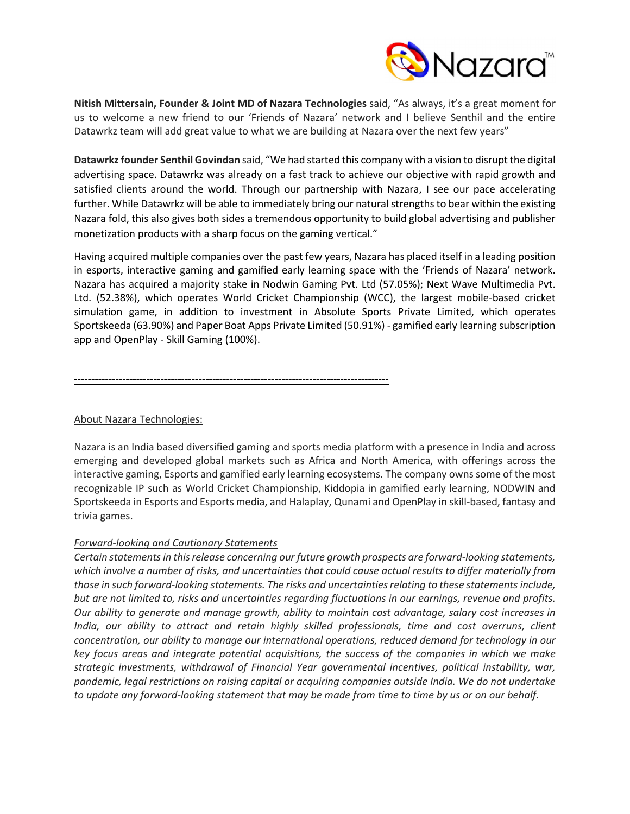

**Nitish Mittersain, Founder & Joint MD of Nazara Technologies** said, "As always, it's a great moment for us to welcome a new friend to our 'Friends of Nazara' network and I believe Senthil and the entire Datawrkz team will add great value to what we are building at Nazara over the next few years"

**Datawrkz founder Senthil Govindan** said, "We had started this company with a vision to disrupt the digital advertising space. Datawrkz was already on a fast track to achieve our objective with rapid growth and satisfied clients around the world. Through our partnership with Nazara, I see our pace accelerating further. While Datawrkz will be able to immediately bring our natural strengths to bear within the existing Nazara fold, this also gives both sides a tremendous opportunity to build global advertising and publisher monetization products with a sharp focus on the gaming vertical."

Having acquired multiple companies over the past few years, Nazara has placed itself in a leading position in esports, interactive gaming and gamified early learning space with the 'Friends of Nazara' network. Nazara has acquired a majority stake in Nodwin Gaming Pvt. Ltd (57.05%); Next Wave Multimedia Pvt. Ltd. (52.38%), which operates World Cricket Championship (WCC), the largest mobile-based cricket simulation game, in addition to investment in Absolute Sports Private Limited, which operates Sportskeeda (63.90%) and Paper Boat Apps Private Limited (50.91%) - gamified early learning subscription app and OpenPlay - Skill Gaming (100%).

**-------------------------------------------------------------------------------------------**

## About Nazara Technologies:

Nazara is an India based diversified gaming and sports media platform with a presence in India and across emerging and developed global markets such as Africa and North America, with offerings across the interactive gaming, Esports and gamified early learning ecosystems. The company owns some of the most recognizable IP such as World Cricket Championship, Kiddopia in gamified early learning, NODWIN and Sportskeeda in Esports and Esports media, and Halaplay, Qunami and OpenPlay in skill-based, fantasy and trivia games.

## *Forward-looking and Cautionary Statements*

*Certain statements in this release concerning our future growth prospects are forward-looking statements, which involve a number of risks, and uncertainties that could cause actual results to differ materially from those in such forward-looking statements. The risks and uncertainties relating to these statements include, but are not limited to, risks and uncertainties regarding fluctuations in our earnings, revenue and profits. Our ability to generate and manage growth, ability to maintain cost advantage, salary cost increases in India, our ability to attract and retain highly skilled professionals, time and cost overruns, client concentration, our ability to manage our international operations, reduced demand for technology in our key focus areas and integrate potential acquisitions, the success of the companies in which we make strategic investments, withdrawal of Financial Year governmental incentives, political instability, war, pandemic, legal restrictions on raising capital or acquiring companies outside India. We do not undertake to update any forward-looking statement that may be made from time to time by us or on our behalf.*